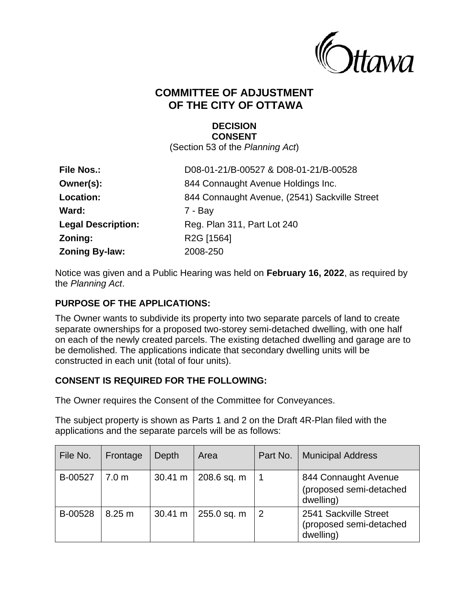

# **COMMITTEE OF ADJUSTMENT OF THE CITY OF OTTAWA**

#### **DECISION CONSENT**

(Section 53 of the *Planning Act*)

| <b>File Nos.:</b>         | D08-01-21/B-00527 & D08-01-21/B-00528         |
|---------------------------|-----------------------------------------------|
| Owner(s):                 | 844 Connaught Avenue Holdings Inc.            |
| Location:                 | 844 Connaught Avenue, (2541) Sackville Street |
| Ward:                     | $7 - Bay$                                     |
| <b>Legal Description:</b> | Reg. Plan 311, Part Lot 240                   |
| Zoning:                   | R <sub>2</sub> G [1564]                       |
| <b>Zoning By-law:</b>     | 2008-250                                      |

Notice was given and a Public Hearing was held on **February 16, 2022**, as required by the *Planning Act*.

# **PURPOSE OF THE APPLICATIONS:**

The Owner wants to subdivide its property into two separate parcels of land to create separate ownerships for a proposed two-storey semi-detached dwelling, with one half on each of the newly created parcels. The existing detached dwelling and garage are to be demolished. The applications indicate that secondary dwelling units will be constructed in each unit (total of four units).

## **CONSENT IS REQUIRED FOR THE FOLLOWING:**

The Owner requires the Consent of the Committee for Conveyances.

The subject property is shown as Parts 1 and 2 on the Draft 4R-Plan filed with the applications and the separate parcels will be as follows:

| File No. | Frontage         | Depth             | Area        | Part No.       | <b>Municipal Address</b>                                      |
|----------|------------------|-------------------|-------------|----------------|---------------------------------------------------------------|
| B-00527  | 7.0 <sub>m</sub> | $30.41 \text{ m}$ | 208.6 sq. m | -1             | 844 Connaught Avenue<br>(proposed semi-detached<br>dwelling)  |
| B-00528  | 8.25 m           | 30.41 m           | 255.0 sq. m | $\overline{2}$ | 2541 Sackville Street<br>(proposed semi-detached<br>dwelling) |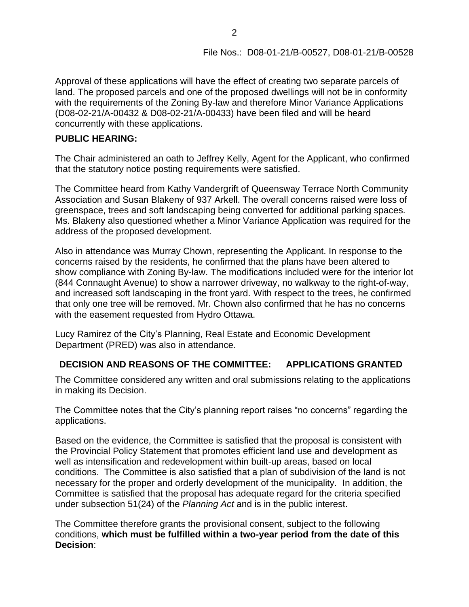Approval of these applications will have the effect of creating two separate parcels of land. The proposed parcels and one of the proposed dwellings will not be in conformity with the requirements of the Zoning By-law and therefore Minor Variance Applications (D08-02-21/A-00432 & D08-02-21/A-00433) have been filed and will be heard concurrently with these applications.

# **PUBLIC HEARING:**

The Chair administered an oath to Jeffrey Kelly, Agent for the Applicant, who confirmed that the statutory notice posting requirements were satisfied.

The Committee heard from Kathy Vandergrift of Queensway Terrace North Community Association and Susan Blakeny of 937 Arkell. The overall concerns raised were loss of greenspace, trees and soft landscaping being converted for additional parking spaces. Ms. Blakeny also questioned whether a Minor Variance Application was required for the address of the proposed development.

Also in attendance was Murray Chown, representing the Applicant. In response to the concerns raised by the residents, he confirmed that the plans have been altered to show compliance with Zoning By-law. The modifications included were for the interior lot (844 Connaught Avenue) to show a narrower driveway, no walkway to the right-of-way, and increased soft landscaping in the front yard. With respect to the trees, he confirmed that only one tree will be removed. Mr. Chown also confirmed that he has no concerns with the easement requested from Hydro Ottawa.

Lucy Ramirez of the City's Planning, Real Estate and Economic Development Department (PRED) was also in attendance.

# **DECISION AND REASONS OF THE COMMITTEE: APPLICATIONS GRANTED**

The Committee considered any written and oral submissions relating to the applications in making its Decision.

The Committee notes that the City's planning report raises "no concerns" regarding the applications.

Based on the evidence, the Committee is satisfied that the proposal is consistent with the Provincial Policy Statement that promotes efficient land use and development as well as intensification and redevelopment within built-up areas, based on local conditions. The Committee is also satisfied that a plan of subdivision of the land is not necessary for the proper and orderly development of the municipality. In addition, the Committee is satisfied that the proposal has adequate regard for the criteria specified under subsection 51(24) of the *Planning Act* and is in the public interest.

The Committee therefore grants the provisional consent, subject to the following conditions, **which must be fulfilled within a two-year period from the date of this Decision**: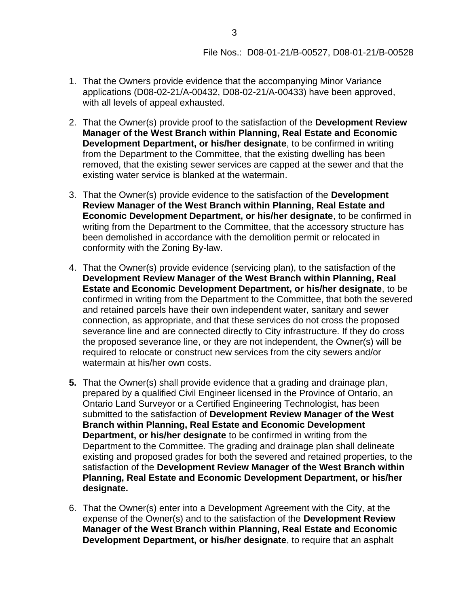- 1. That the Owners provide evidence that the accompanying Minor Variance applications (D08-02-21/A-00432, D08-02-21/A-00433) have been approved, with all levels of appeal exhausted.
- 2. That the Owner(s) provide proof to the satisfaction of the **Development Review Manager of the West Branch within Planning, Real Estate and Economic Development Department, or his/her designate**, to be confirmed in writing from the Department to the Committee, that the existing dwelling has been removed, that the existing sewer services are capped at the sewer and that the existing water service is blanked at the watermain.
- 3. That the Owner(s) provide evidence to the satisfaction of the **Development Review Manager of the West Branch within Planning, Real Estate and Economic Development Department, or his/her designate**, to be confirmed in writing from the Department to the Committee, that the accessory structure has been demolished in accordance with the demolition permit or relocated in conformity with the Zoning By-law.
- 4. That the Owner(s) provide evidence (servicing plan), to the satisfaction of the **Development Review Manager of the West Branch within Planning, Real Estate and Economic Development Department, or his/her designate**, to be confirmed in writing from the Department to the Committee, that both the severed and retained parcels have their own independent water, sanitary and sewer connection, as appropriate, and that these services do not cross the proposed severance line and are connected directly to City infrastructure. If they do cross the proposed severance line, or they are not independent, the Owner(s) will be required to relocate or construct new services from the city sewers and/or watermain at his/her own costs.
- **5.** That the Owner(s) shall provide evidence that a grading and drainage plan, prepared by a qualified Civil Engineer licensed in the Province of Ontario, an Ontario Land Surveyor or a Certified Engineering Technologist, has been submitted to the satisfaction of **Development Review Manager of the West Branch within Planning, Real Estate and Economic Development Department, or his/her designate** to be confirmed in writing from the Department to the Committee. The grading and drainage plan shall delineate existing and proposed grades for both the severed and retained properties, to the satisfaction of the **Development Review Manager of the West Branch within Planning, Real Estate and Economic Development Department, or his/her designate.**
- 6. That the Owner(s) enter into a Development Agreement with the City, at the expense of the Owner(s) and to the satisfaction of the **Development Review Manager of the West Branch within Planning, Real Estate and Economic Development Department, or his/her designate**, to require that an asphalt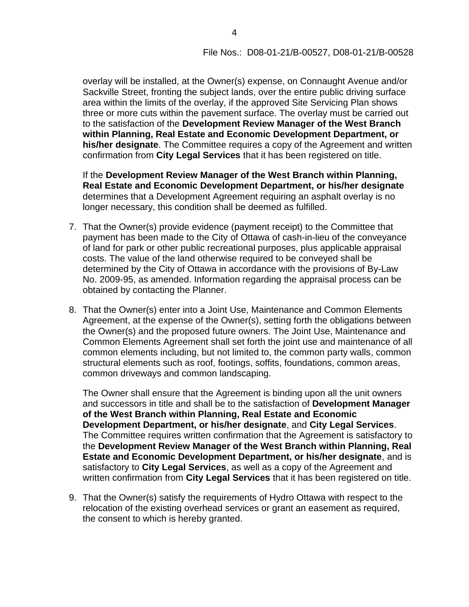overlay will be installed, at the Owner(s) expense, on Connaught Avenue and/or Sackville Street, fronting the subject lands, over the entire public driving surface area within the limits of the overlay, if the approved Site Servicing Plan shows three or more cuts within the pavement surface. The overlay must be carried out to the satisfaction of the **Development Review Manager of the West Branch within Planning, Real Estate and Economic Development Department, or his/her designate**. The Committee requires a copy of the Agreement and written confirmation from **City Legal Services** that it has been registered on title.

If the **Development Review Manager of the West Branch within Planning, Real Estate and Economic Development Department, or his/her designate** determines that a Development Agreement requiring an asphalt overlay is no longer necessary, this condition shall be deemed as fulfilled.

- 7. That the Owner(s) provide evidence (payment receipt) to the Committee that payment has been made to the City of Ottawa of cash-in-lieu of the conveyance of land for park or other public recreational purposes, plus applicable appraisal costs. The value of the land otherwise required to be conveyed shall be determined by the City of Ottawa in accordance with the provisions of By-Law No. 2009-95, as amended. Information regarding the appraisal process can be obtained by contacting the Planner.
- 8. That the Owner(s) enter into a Joint Use, Maintenance and Common Elements Agreement, at the expense of the Owner(s), setting forth the obligations between the Owner(s) and the proposed future owners. The Joint Use, Maintenance and Common Elements Agreement shall set forth the joint use and maintenance of all common elements including, but not limited to, the common party walls, common structural elements such as roof, footings, soffits, foundations, common areas, common driveways and common landscaping.

The Owner shall ensure that the Agreement is binding upon all the unit owners and successors in title and shall be to the satisfaction of **Development Manager of the West Branch within Planning, Real Estate and Economic Development Department, or his/her designate**, and **City Legal Services**. The Committee requires written confirmation that the Agreement is satisfactory to the **Development Review Manager of the West Branch within Planning, Real Estate and Economic Development Department, or his/her designate**, and is satisfactory to **City Legal Services**, as well as a copy of the Agreement and written confirmation from **City Legal Services** that it has been registered on title.

9. That the Owner(s) satisfy the requirements of Hydro Ottawa with respect to the relocation of the existing overhead services or grant an easement as required, the consent to which is hereby granted.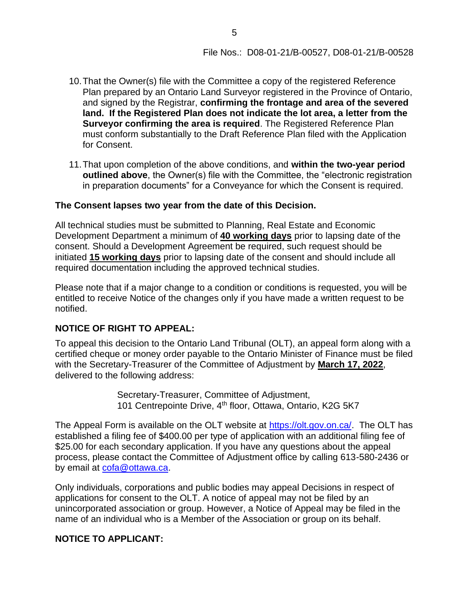- 10.That the Owner(s) file with the Committee a copy of the registered Reference Plan prepared by an Ontario Land Surveyor registered in the Province of Ontario, and signed by the Registrar, **confirming the frontage and area of the severed land. If the Registered Plan does not indicate the lot area, a letter from the Surveyor confirming the area is required**. The Registered Reference Plan must conform substantially to the Draft Reference Plan filed with the Application for Consent.
- 11.That upon completion of the above conditions, and **within the two-year period outlined above**, the Owner(s) file with the Committee, the "electronic registration in preparation documents" for a Conveyance for which the Consent is required.

#### **The Consent lapses two year from the date of this Decision.**

All technical studies must be submitted to Planning, Real Estate and Economic Development Department a minimum of **40 working days** prior to lapsing date of the consent. Should a Development Agreement be required, such request should be initiated **15 working days** prior to lapsing date of the consent and should include all required documentation including the approved technical studies.

Please note that if a major change to a condition or conditions is requested, you will be entitled to receive Notice of the changes only if you have made a written request to be notified.

#### **NOTICE OF RIGHT TO APPEAL:**

To appeal this decision to the Ontario Land Tribunal (OLT), an appeal form along with a certified cheque or money order payable to the Ontario Minister of Finance must be filed with the Secretary-Treasurer of the Committee of Adjustment by **March 17, 2022**, delivered to the following address:

> Secretary-Treasurer, Committee of Adjustment, 101 Centrepointe Drive, 4<sup>th</sup> floor, Ottawa, Ontario, K2G 5K7

The Appeal Form is available on the OLT website at [https://olt.gov.on.ca/.](https://can01.safelinks.protection.outlook.com/?url=https%3A%2F%2Folt.gov.on.ca%2F&data=04%7C01%7Cmandy.nguyen%40ottawa.ca%7C4a402e587dca4eec381008d92a9c13e2%7Cdfcc033ddf874c6ea1b88eaa73f1b72e%7C0%7C0%7C637587672099325338%7CUnknown%7CTWFpbGZsb3d8eyJWIjoiMC4wLjAwMDAiLCJQIjoiV2luMzIiLCJBTiI6Ik1haWwiLCJXVCI6Mn0%3D%7C1000&sdata=V0eM78Npg%2BE92b%2F2LCkzM1PHSopFe%2Fw4BuM7gvq28Wo%3D&reserved=0) The OLT has established a filing fee of \$400.00 per type of application with an additional filing fee of \$25.00 for each secondary application. If you have any questions about the appeal process, please contact the Committee of Adjustment office by calling 613-580-2436 or by email at [cofa@ottawa.ca.](mailto:cofa@ottawa.ca)

Only individuals, corporations and public bodies may appeal Decisions in respect of applications for consent to the OLT. A notice of appeal may not be filed by an unincorporated association or group. However, a Notice of Appeal may be filed in the name of an individual who is a Member of the Association or group on its behalf.

#### **NOTICE TO APPLICANT:**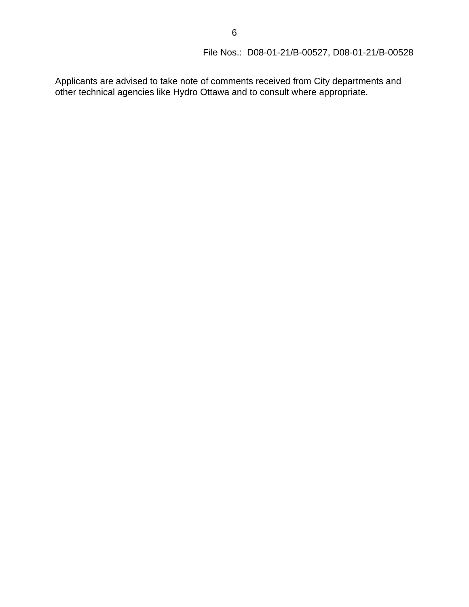# File Nos.:D08-01-21/B-00527, D08-01-21/B-00528

Applicants are advised to take note of comments received from City departments and other technical agencies like Hydro Ottawa and to consult where appropriate.